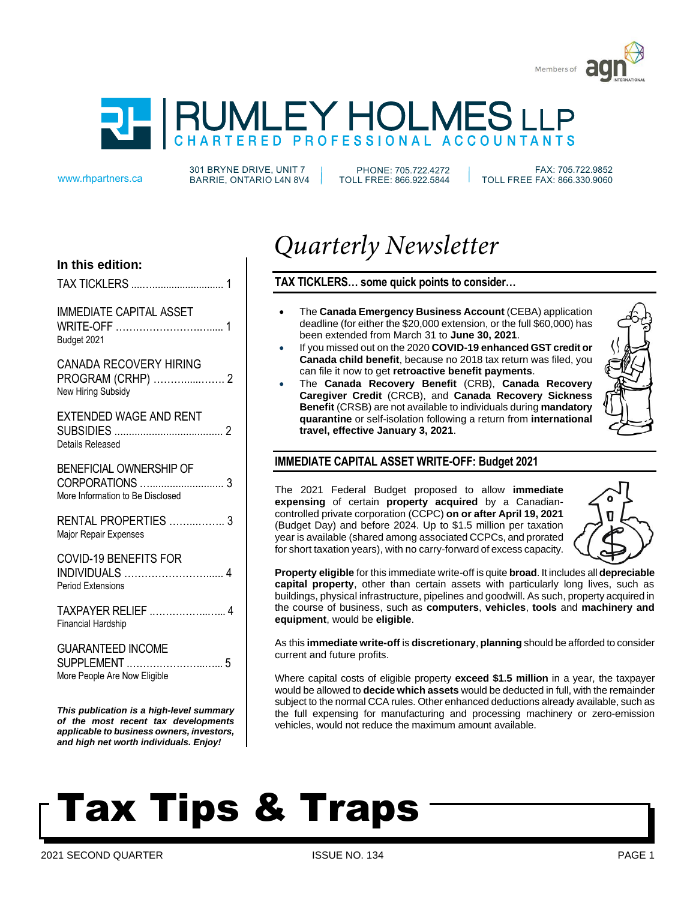



301 BRYNE DRIVE, UNIT 7 www.rhpartners.ca BARRIE, ONTARIO L4N 8V4

PHONE: 705.722.4272 TOLL FREE: 866.922.5844

 FAX: 705.722.9852 TOLL FREE FAX: 866.330.9060

# **In this edition:**

| <b>TAX TICKLERS </b> |  |
|----------------------|--|
|                      |  |

IMMEDIATE CAPITAL ASSET WRITE-OFF …………………….…..... 1 Budget 2021

CANADA RECOVERY HIRING PROGRAM (CRHP) ………......……. 2 New Hiring Subsidy

EXTENDED WAGE AND RENT SUBSIDIES ...................................... 2 Details Released

BENEFICIAL OWNERSHIP OF CORPORATIONS ….......................... 3 More Information to Be Disclosed

RENTAL PROPERTIES ……...…….. 3 Major Repair Expenses

COVID-19 BENEFITS FOR INDIVIDUALS ……………………...... 4 Period Extensions

TAXPAYER RELIEF .……………..…... 4 Financial Hardship

GUARANTEED INCOME SUPPLEMENT .…………………..…... 5 More People Are Now Eligible

*This publication is a high-level summary of the most recent tax developments applicable to business owners, investors, and high net worth individuals. Enjoy!*

# *Quarterly Newsletter*

**TAX TICKLERS… some quick points to consider…**

- The **Canada Emergency Business Account** (CEBA) application deadline (for either the \$20,000 extension, or the full \$60,000) has been extended from March 31 to **June 30, 2021**.
- If you missed out on the 2020 **COVID-19 enhanced GST credit or Canada child benefit**, because no 2018 tax return was filed, you can file it now to get **retroactive benefit payments**.
- The **Canada Recovery Benefit** (CRB), **Canada Recovery Caregiver Credit** (CRCB), and **Canada Recovery Sickness Benefit** (CRSB) are not available to individuals during **mandatory quarantine** or self-isolation following a return from **international travel, effective January 3, 2021**.



# **IMMEDIATE CAPITAL ASSET WRITE-OFF: Budget 2021**

The 2021 Federal Budget proposed to allow **immediate expensing** of certain **property acquired** by a Canadiancontrolled private corporation (CCPC) **on or after April 19, 2021** (Budget Day) and before 2024. Up to \$1.5 million per taxation year is available (shared among associated CCPCs, and prorated for short taxation years), with no carry-forward of excess capacity.



**Property eligible** for this immediate write-off is quite **broad**. It includes all **depreciable capital property**, other than certain assets with particularly long lives, such as buildings, physical infrastructure, pipelines and goodwill. As such, property acquired in the course of business, such as **computers**, **vehicles**, **tools** and **machinery and equipment**, would be **eligible**.

As this **immediate write-off** is **discretionary**, **planning** should be afforded to consider current and future profits.

Where capital costs of eligible property **exceed \$1.5 million** in a year, the taxpayer would be allowed to **decide which assets** would be deducted in full, with the remainder subject to the normal CCA rules. Other enhanced deductions already available, such as the full expensing for manufacturing and processing machinery or zero-emission vehicles, would not reduce the maximum amount available.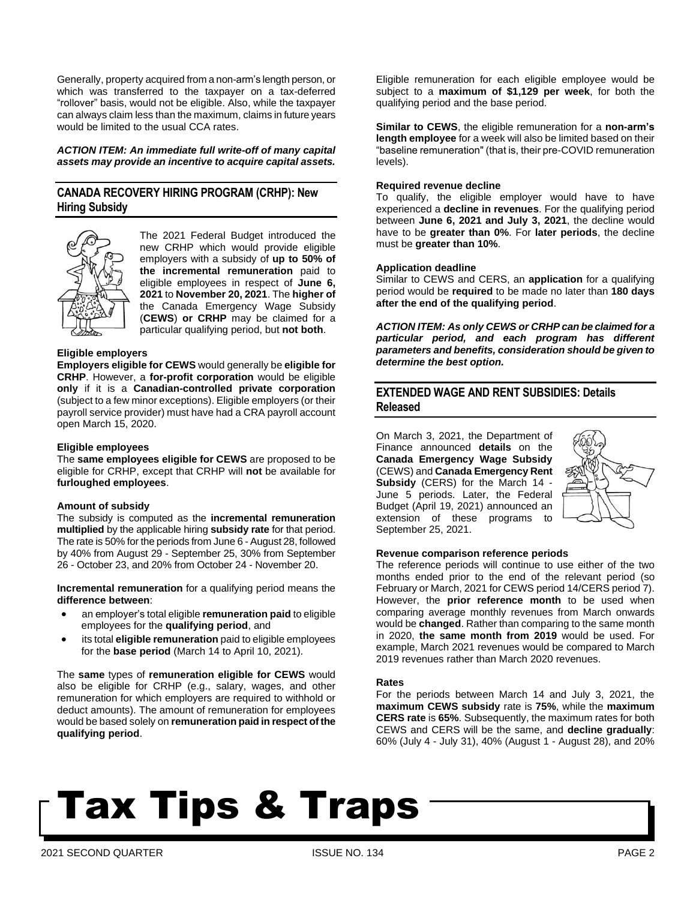Generally, property acquired from a non-arm's length person, or which was transferred to the taxpayer on a tax-deferred "rollover" basis, would not be eligible. Also, while the taxpayer can always claim less than the maximum, claims in future years would be limited to the usual CCA rates.

*ACTION ITEM: An immediate full write-off of many capital assets may provide an incentive to acquire capital assets.*

# **CANADA RECOVERY HIRING PROGRAM (CRHP): New Hiring Subsidy**



The 2021 Federal Budget introduced the new CRHP which would provide eligible employers with a subsidy of **up to 50% of the incremental remuneration** paid to eligible employees in respect of **June 6, 2021** to **November 20, 2021**. The **higher of** the Canada Emergency Wage Subsidy (**CEWS**) **or CRHP** may be claimed for a particular qualifying period, but **not both**.

### **Eligible employers**

**Employers eligible for CEWS** would generally be **eligible for CRHP**. However, a **for-profit corporation** would be eligible **only** if it is a **Canadian-controlled private corporation** (subject to a few minor exceptions). Eligible employers (or their payroll service provider) must have had a CRA payroll account open March 15, 2020.

#### **Eligible employees**

The **same employees eligible for CEWS** are proposed to be eligible for CRHP, except that CRHP will **not** be available for **furloughed employees**.

#### **Amount of subsidy**

The subsidy is computed as the **incremental remuneration multiplied** by the applicable hiring **subsidy rate** for that period. The rate is 50% for the periods from June 6 - August 28, followed by 40% from August 29 - September 25, 30% from September 26 - October 23, and 20% from October 24 - November 20.

**Incremental remuneration** for a qualifying period means the **difference between**:

- an employer's total eligible **remuneration paid** to eligible employees for the **qualifying period**, and
- its total **eligible remuneration** paid to eligible employees for the **base period** (March 14 to April 10, 2021).

The **same** types of **remuneration eligible for CEWS** would also be eligible for CRHP (e.g., salary, wages, and other remuneration for which employers are required to withhold or deduct amounts). The amount of remuneration for employees would be based solely on **remuneration paid in respect of the qualifying period**.

Eligible remuneration for each eligible employee would be subject to a **maximum of \$1,129 per week**, for both the qualifying period and the base period.

**Similar to CEWS**, the eligible remuneration for a **non-arm's length employee** for a week will also be limited based on their "baseline remuneration" (that is, their pre-COVID remuneration levels).

#### **Required revenue decline**

To qualify, the eligible employer would have to have experienced a **decline in revenues**. For the qualifying period between **June 6, 2021 and July 3, 2021**, the decline would have to be **greater than 0%**. For **later periods**, the decline must be **greater than 10%**.

#### **Application deadline**

Similar to CEWS and CERS, an **application** for a qualifying period would be **required** to be made no later than **180 days after the end of the qualifying period**.

*ACTION ITEM: As only CEWS or CRHP can be claimed for a particular period, and each program has different parameters and benefits, consideration should be given to determine the best option.*

# **EXTENDED WAGE AND RENT SUBSIDIES: Details Released**

On March 3, 2021, the Department of Finance announced **details** on the **Canada Emergency Wage Subsidy** (CEWS) and **Canada Emergency Rent Subsidy** (CERS) for the March 14 - June 5 periods. Later, the Federal Budget (April 19, 2021) announced an extension of these programs to September 25, 2021.



#### **Revenue comparison reference periods**

The reference periods will continue to use either of the two months ended prior to the end of the relevant period (so February or March, 2021 for CEWS period 14/CERS period 7). However, the **prior reference month** to be used when comparing average monthly revenues from March onwards would be **changed**. Rather than comparing to the same month in 2020, **the same month from 2019** would be used. For example, March 2021 revenues would be compared to March 2019 revenues rather than March 2020 revenues.

#### **Rates**

For the periods between March 14 and July 3, 2021, the **maximum CEWS subsidy** rate is **75%**, while the **maximum CERS rate** is **65%**. Subsequently, the maximum rates for both CEWS and CERS will be the same, and **decline gradually**: 60% (July 4 - July 31), 40% (August 1 - August 28), and 20%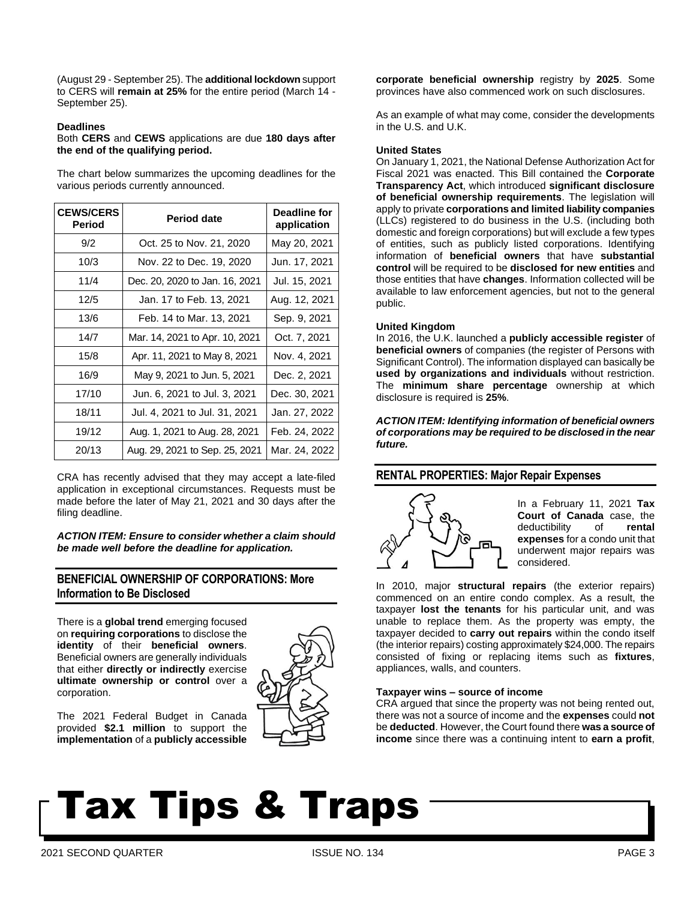(August 29 - September 25). The **additional lockdown** support to CERS will **remain at 25%** for the entire period (March 14 - September 25).

#### **Deadlines**

Both **CERS** and **CEWS** applications are due **180 days after the end of the qualifying period.**

The chart below summarizes the upcoming deadlines for the various periods currently announced.

| <b>CEWS/CERS</b><br><b>Period</b> | <b>Period date</b>             | Deadline for<br>application |
|-----------------------------------|--------------------------------|-----------------------------|
| 9/2                               | Oct. 25 to Nov. 21, 2020       | May 20, 2021                |
| 10/3                              | Nov. 22 to Dec. 19, 2020       | Jun. 17, 2021               |
| 11/4                              | Dec. 20, 2020 to Jan. 16, 2021 | Jul. 15, 2021               |
| 12/5                              | Jan. 17 to Feb. 13, 2021       | Aug. 12, 2021               |
| 13/6                              | Feb. 14 to Mar. 13, 2021       | Sep. 9, 2021                |
| 14/7                              | Mar. 14, 2021 to Apr. 10, 2021 | Oct. 7, 2021                |
| 15/8                              | Apr. 11, 2021 to May 8, 2021   | Nov. 4, 2021                |
| 16/9                              | May 9, 2021 to Jun. 5, 2021    | Dec. 2, 2021                |
| 17/10                             | Jun. 6, 2021 to Jul. 3, 2021   | Dec. 30, 2021               |
| 18/11                             | Jul. 4, 2021 to Jul. 31, 2021  | Jan. 27, 2022               |
| 19/12                             | Aug. 1, 2021 to Aug. 28, 2021  | Feb. 24, 2022               |
| 20/13                             | Aug. 29, 2021 to Sep. 25, 2021 | Mar. 24, 2022               |

CRA has recently advised that they may accept a late-filed application in exceptional circumstances. Requests must be made before the later of May 21, 2021 and 30 days after the filing deadline.

*ACTION ITEM: Ensure to consider whether a claim should be made well before the deadline for application.*

# **BENEFICIAL OWNERSHIP OF CORPORATIONS: More Information to Be Disclosed**

There is a **global trend** emerging focused on **requiring corporations** to disclose the **identity** of their **beneficial owners**. Beneficial owners are generally individuals that either **directly or indirectly** exercise **ultimate ownership or control** over a corporation.



The 2021 Federal Budget in Canada provided **\$2.1 million** to support the **implementation** of a **publicly accessible**

**corporate beneficial ownership** registry by **2025**. Some provinces have also commenced work on such disclosures.

As an example of what may come, consider the developments in the U.S. and U.K.

#### **United States**

On January 1, 2021, the National Defense Authorization Act for Fiscal 2021 was enacted. This Bill contained the **Corporate Transparency Act**, which introduced **significant disclosure of beneficial ownership requirements**. The legislation will apply to private **corporations and limited liability companies** (LLCs) registered to do business in the U.S. (including both domestic and foreign corporations) but will exclude a few types of entities, such as publicly listed corporations. Identifying information of **beneficial owners** that have **substantial control** will be required to be **disclosed for new entities** and those entities that have **changes**. Information collected will be available to law enforcement agencies, but not to the general public.

### **United Kingdom**

In 2016, the U.K. launched a **publicly accessible register** of **beneficial owners** of companies (the register of Persons with Significant Control). The information displayed can basically be **used by organizations and individuals** without restriction. The **minimum share percentage** ownership at which disclosure is required is **25%**.

*ACTION ITEM: Identifying information of beneficial owners of corporations may be required to be disclosed in the near future.*

# **RENTAL PROPERTIES: Major Repair Expenses**



In a February 11, 2021 **Tax Court of Canada** case, the deductibility of **rental expenses** for a condo unit that underwent major repairs was considered.

In 2010, major **structural repairs** (the exterior repairs) commenced on an entire condo complex. As a result, the taxpayer **lost the tenants** for his particular unit, and was unable to replace them. As the property was empty, the taxpayer decided to **carry out repairs** within the condo itself (the interior repairs) costing approximately \$24,000. The repairs consisted of fixing or replacing items such as **fixtures**, appliances, walls, and counters.

### **Taxpayer wins – source of income**

CRA argued that since the property was not being rented out, there was not a source of income and the **expenses** could **not**  be **deducted**. However, the Court found there **was a source of income** since there was a continuing intent to **earn a profit**,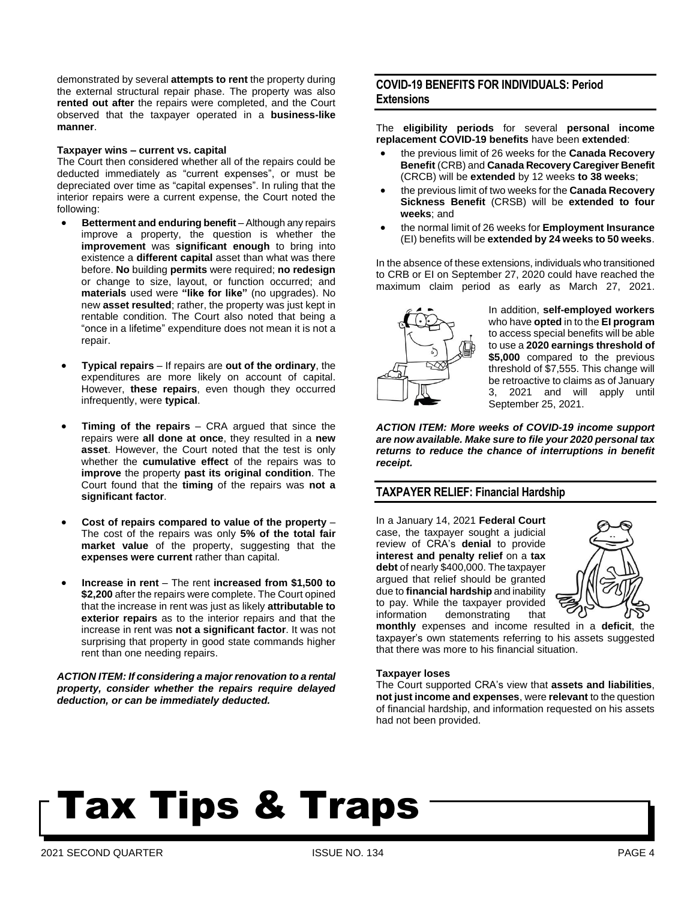demonstrated by several **attempts to rent** the property during the external structural repair phase. The property was also **rented out after** the repairs were completed, and the Court observed that the taxpayer operated in a **business-like manner**.

#### **Taxpayer wins – current vs. capital**

The Court then considered whether all of the repairs could be deducted immediately as "current expenses", or must be depreciated over time as "capital expenses". In ruling that the interior repairs were a current expense, the Court noted the following:

- **Betterment and enduring benefit** Although any repairs improve a property, the question is whether the **improvement** was **significant enough** to bring into existence a **different capital** asset than what was there before. **No** building **permits** were required; **no redesign** or change to size, layout, or function occurred; and **materials** used were **"like for like"** (no upgrades). No new **asset resulted**; rather, the property was just kept in rentable condition. The Court also noted that being a "once in a lifetime" expenditure does not mean it is not a repair.
- **Typical repairs** If repairs are **out of the ordinary**, the expenditures are more likely on account of capital. However, **these repairs**, even though they occurred infrequently, were **typical**.
- **Timing of the repairs** CRA argued that since the repairs were **all done at once**, they resulted in a **new asset**. However, the Court noted that the test is only whether the **cumulative effect** of the repairs was to **improve** the property **past its original condition**. The Court found that the **timing** of the repairs was **not a significant factor**.
- **Cost of repairs compared to value of the property** The cost of the repairs was only **5% of the total fair market value** of the property, suggesting that the **expenses were current** rather than capital.
- **Increase in rent** The rent **increased from \$1,500 to \$2,200** after the repairs were complete. The Court opined that the increase in rent was just as likely **attributable to exterior repairs** as to the interior repairs and that the increase in rent was **not a significant factor**. It was not surprising that property in good state commands higher rent than one needing repairs.

*ACTION ITEM: If considering a major renovation to a rental property, consider whether the repairs require delayed deduction, or can be immediately deducted.*

# **COVID-19 BENEFITS FOR INDIVIDUALS: Period Extensions**

The **eligibility periods** for several **personal income replacement COVID-19 benefits** have been **extended**:

- the previous limit of 26 weeks for the **Canada Recovery Benefit** (CRB) and **Canada Recovery Caregiver Benefit** (CRCB) will be **extended** by 12 weeks **to 38 weeks**;
- the previous limit of two weeks for the **Canada Recovery Sickness Benefit** (CRSB) will be **extended to four weeks**; and
- the normal limit of 26 weeks for **Employment Insurance** (EI) benefits will be **extended by 24 weeks to 50 weeks**.

In the absence of these extensions, individuals who transitioned to CRB or EI on September 27, 2020 could have reached the maximum claim period as early as March 27, 2021.



In addition, **self-employed workers** who have **opted** in to the **EI program** to access special benefits will be able to use a **2020 earnings threshold of \$5,000** compared to the previous threshold of \$7,555. This change will be retroactive to claims as of January 3, 2021 and will apply until September 25, 2021.

*ACTION ITEM: More weeks of COVID-19 income support are now available. Make sure to file your 2020 personal tax returns to reduce the chance of interruptions in benefit receipt.*

### **TAXPAYER RELIEF: Financial Hardship**

In a January 14, 2021 **Federal Court** case, the taxpayer sought a judicial review of CRA's **denial** to provide **interest and penalty relief** on a **tax debt** of nearly \$400,000. The taxpayer argued that relief should be granted due to **financial hardship** and inability to pay. While the taxpayer provided information demonstrating that



**monthly** expenses and income resulted in a **deficit**, the taxpayer's own statements referring to his assets suggested that there was more to his financial situation.

### **Taxpayer loses**

The Court supported CRA's view that **assets and liabilities**, **not just income and expenses**, were **relevant** to the question of financial hardship, and information requested on his assets had not been provided.